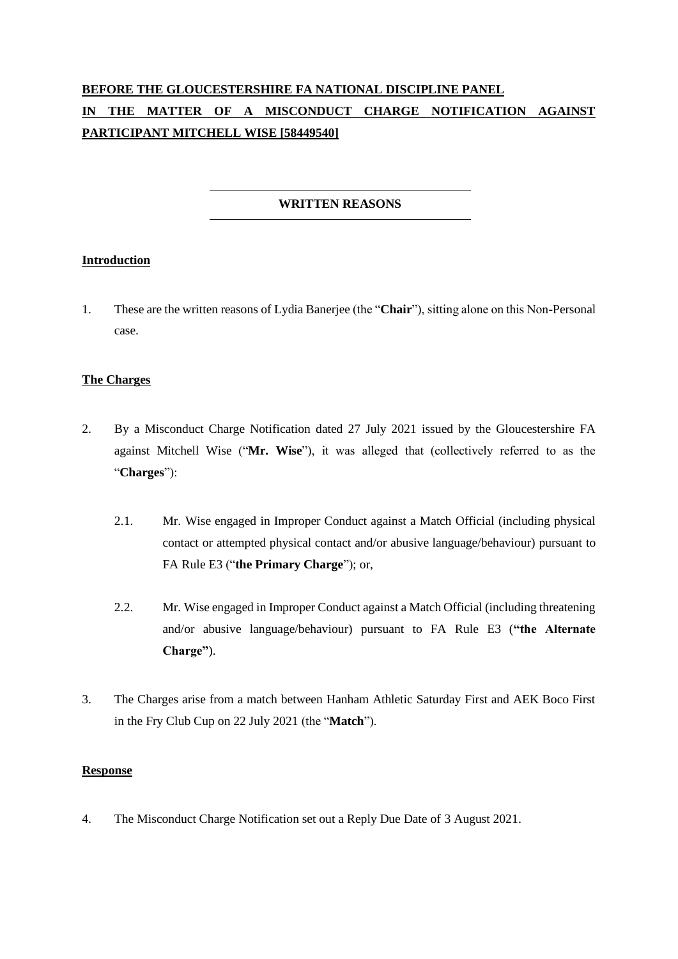# **BEFORE THE GLOUCESTERSHIRE FA NATIONAL DISCIPLINE PANEL IN THE MATTER OF A MISCONDUCT CHARGE NOTIFICATION AGAINST PARTICIPANT MITCHELL WISE [58449540]**

## **WRITTEN REASONS**

## **Introduction**

1. These are the written reasons of Lydia Banerjee (the "**Chair**"), sitting alone on this Non-Personal case.

## **The Charges**

- 2. By a Misconduct Charge Notification dated 27 July 2021 issued by the Gloucestershire FA against Mitchell Wise ("**Mr. Wise**"), it was alleged that (collectively referred to as the "**Charges**"):
	- 2.1. Mr. Wise engaged in Improper Conduct against a Match Official (including physical contact or attempted physical contact and/or abusive language/behaviour) pursuant to FA Rule E3 ("**the Primary Charge**"); or,
	- 2.2. Mr. Wise engaged in Improper Conduct against a Match Official (including threatening and/or abusive language/behaviour) pursuant to FA Rule E3 (**"the Alternate Charge"**).
- 3. The Charges arise from a match between Hanham Athletic Saturday First and AEK Boco First in the Fry Club Cup on 22 July 2021 (the "**Match**").

#### **Response**

4. The Misconduct Charge Notification set out a Reply Due Date of 3 August 2021.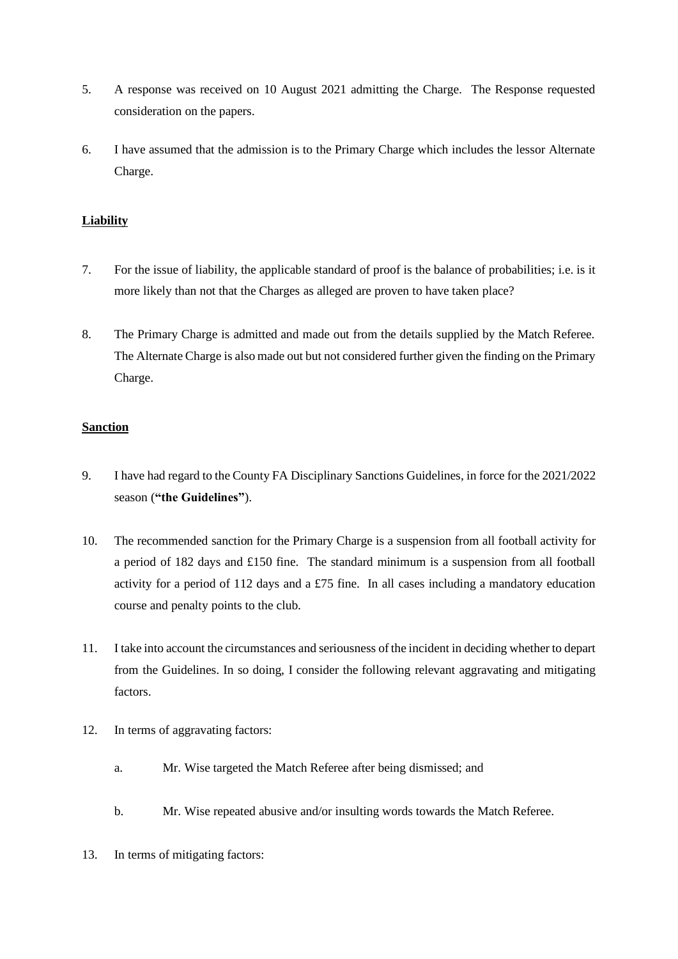- 5. A response was received on 10 August 2021 admitting the Charge. The Response requested consideration on the papers.
- 6. I have assumed that the admission is to the Primary Charge which includes the lessor Alternate Charge.

## **Liability**

- 7. For the issue of liability, the applicable standard of proof is the balance of probabilities; i.e. is it more likely than not that the Charges as alleged are proven to have taken place?
- 8. The Primary Charge is admitted and made out from the details supplied by the Match Referee. The Alternate Charge is also made out but not considered further given the finding on the Primary Charge.

## **Sanction**

- 9. I have had regard to the County FA Disciplinary Sanctions Guidelines, in force for the 2021/2022 season (**"the Guidelines"**).
- 10. The recommended sanction for the Primary Charge is a suspension from all football activity for a period of 182 days and £150 fine. The standard minimum is a suspension from all football activity for a period of 112 days and a £75 fine. In all cases including a mandatory education course and penalty points to the club.
- 11. I take into account the circumstances and seriousness of the incident in deciding whether to depart from the Guidelines. In so doing, I consider the following relevant aggravating and mitigating factors.
- 12. In terms of aggravating factors:
	- a. Mr. Wise targeted the Match Referee after being dismissed; and
	- b. Mr. Wise repeated abusive and/or insulting words towards the Match Referee.
- 13. In terms of mitigating factors: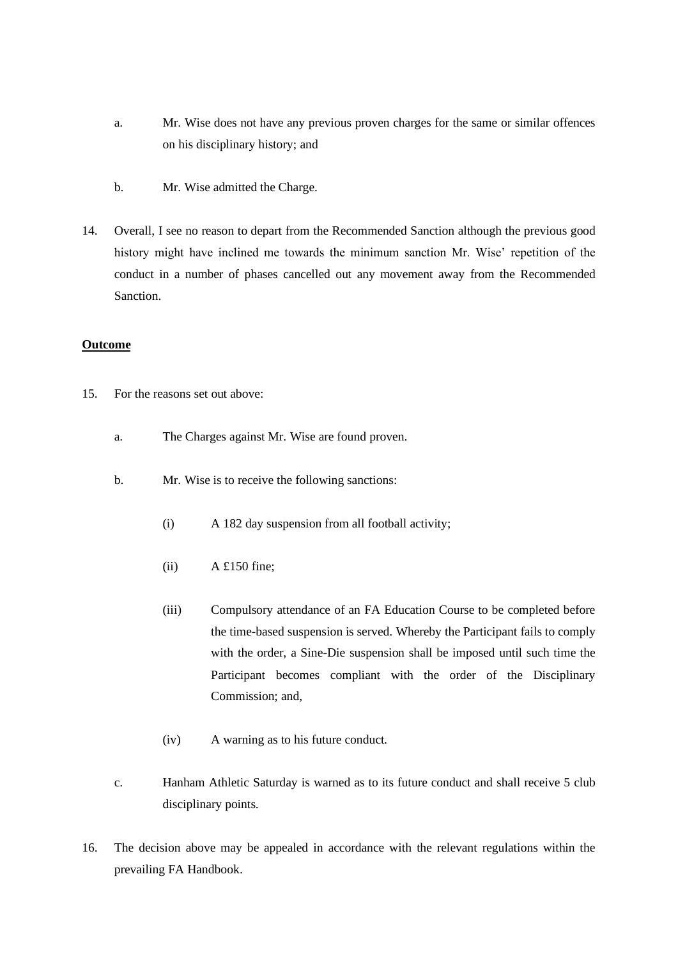- a. Mr. Wise does not have any previous proven charges for the same or similar offences on his disciplinary history; and
- b. Mr. Wise admitted the Charge.
- 14. Overall, I see no reason to depart from the Recommended Sanction although the previous good history might have inclined me towards the minimum sanction Mr. Wise' repetition of the conduct in a number of phases cancelled out any movement away from the Recommended Sanction.

## **Outcome**

- 15. For the reasons set out above:
	- a. The Charges against Mr. Wise are found proven.
	- b. Mr. Wise is to receive the following sanctions:
		- (i) A 182 day suspension from all football activity;
		- $(iii)$  A £150 fine:
		- (iii) Compulsory attendance of an FA Education Course to be completed before the time-based suspension is served. Whereby the Participant fails to comply with the order, a Sine-Die suspension shall be imposed until such time the Participant becomes compliant with the order of the Disciplinary Commission; and,
		- (iv) A warning as to his future conduct.
	- c. Hanham Athletic Saturday is warned as to its future conduct and shall receive 5 club disciplinary points.
- 16. The decision above may be appealed in accordance with the relevant regulations within the prevailing FA Handbook.